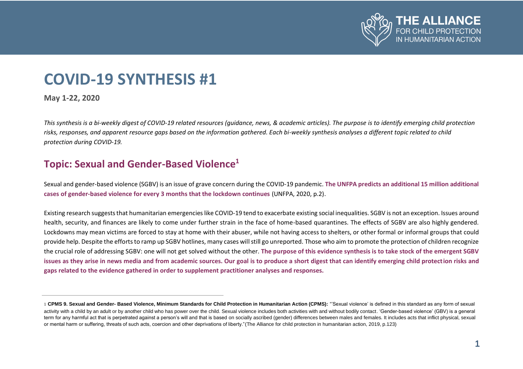

#### KIÑ <u>树,</u> D ŕU ो

This synthesis is a bi-weekly digest of COVID-19 related resources (quidance, news, & academic articles). The purpose is to identify emerging child protection risks, responses, and apparent resource gaps based on the information gathered. Each bi-weekly synthesis analyses a different topic related to child protection during COVID-19.

#### $dV_{\rm oo}$  WHE ovvetov

Sexual and gender-based violence (SGBV) is an issue of grave concern during the COVID-19 pandemic. dZ hE&W G  $\bullet$  v  $13$ oi ñ ulooly livo Alby  $\left(\begin{array}{ccc} 0 & \text{OPE} & \text{C} \text{I} & \text{u} & \text{V} \text{Z} & \text{s} & \text{Z} & \text{s} \text{Z} & \text{d} \text{A} \end{array}\right)$ v V V V V V V V V V V V V V V V V V V 2020, p.2)  $\rightarrow$  (PvGE)

Existing research suggests that humanitarian emergencies like COVID-19 tend to exacerbate existing social inequalities. SGBV is not an exception. Issues around health, security, and finances are likely to come under further strain in the face of home-based quarantines. The effects of SGBV are also highly gendered. Lockdowns may mean victims are forced to stay at home with their abuser, while not having access to shelters, or other formal or informal groups that could provide help. Despite the efforts to ramp up SGBV hotlines, many cases will still go unreported. Those who aim to promote the protection of children recognize the crucial role of addressing SGBV: one will not get solved without the other. details

**I SEYVÁN V (DE I BIBLE) BEGEV SI COPEV P ZO SEGORY** PERPETED VEHICLE

<sup>1</sup> CPMS 9. Sexual and Gender- Based Violence, Minimum Standards for Child Protection in Humanitarian Action (CPMS): "Sexual violence' is defined in this standard as any form of sexual activity with a child by an adult or by another child who has power over the child. Sexual violence includes both activities with and without bodily contact. 'Gender-based violence' (GBV) is a general term for any harmful act that is perpetrated against a person's will and that is based on socially ascribed (gender) differences between males and females. It includes acts that inflict physical, sexual or mental harm or suffering, threats of such acts, coercion and other deprivations of liberty." (The Alliance for child protection in humanitarian action, 2019, p.123)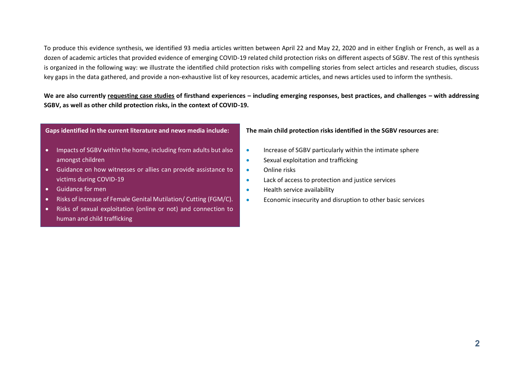To produce this evidence synthesis, we identified 93 media articles written between April 22 and May 22, 2020 and in either English or French, as well as a dozen of academic articles that provided evidence of emerging COVID-19 related child protection risks on different aspects of SGBV. The rest of this synthesis is organized in the following way: we illustrate the identified child protection risks with compelling stories from select articles and research studies, discuss key gaps in the data gathered, and provide a non-exhaustive list of key resources, academic articles, and news articles used to inform the synthesis.

- Impacts of SGBV within the home, including from adults but also amongst children
- Guidance on how witnesses or allies can provide assistance to victims during COVID-19
- Guidance for men
- Risks of increase of Female Genital Mutilation/ Cutting (FGM/C).
- Risks of sexual exploitation (online or not) and connection to human and child trafficking

 $\mathcal{S}_{\mathcal{S}}$  is the CoVID-19 context in the COVID-19 context in the  $\mathcal{S}_{\mathcal{S}}$ 

- Increase of SGBV particularly within the intimate sphere
- Sexual exploitation and trafficking
- Online risks
- Lack of access to protection and justice services
- Health service availability
- Economic insecurity and disruption to other basic services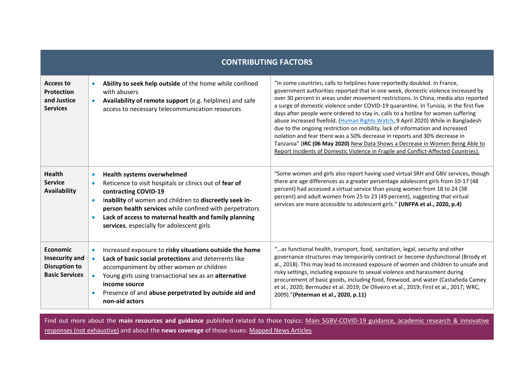| of the home while confined<br>with abusers<br>(e.g. helplines) and safe<br>access to necessary telecommunication resources                                       | "In some countries, calls to helplines have reportedly doubled. In France,<br>government authorities reported that in one week, domestic violence increased by<br>over 30 percent in areas under movement restrictions. In China, media also reported<br>a surge of domestic violence under COVID-19 quarantine. In Tunisia, in the first five<br>days after people were ordered to stay in, calls to a hotline for women suffering<br>abuse increased fivefold. (Human Rights Watch, 9 April 2020) While in Bangladesh<br>due to the ongoing restriction on mobility, lack of information and increased<br>isolation and fear there was a 50% decrease in reports and 30% decrease in<br>New Data Shows a Decrease in Women Being Able to<br>Tanzania" (<br>Report Incidents of Domestic Violence in Fragile and Conflict-Affected Countries). |
|------------------------------------------------------------------------------------------------------------------------------------------------------------------|-------------------------------------------------------------------------------------------------------------------------------------------------------------------------------------------------------------------------------------------------------------------------------------------------------------------------------------------------------------------------------------------------------------------------------------------------------------------------------------------------------------------------------------------------------------------------------------------------------------------------------------------------------------------------------------------------------------------------------------------------------------------------------------------------------------------------------------------------|
| Reticence to visit hospitals or clinics out of<br>of women and children to<br>$\bullet$<br>while confined with perpetrators<br>, especially for adolescent girls | "Some women and girls also report having used virtual SRH and GBV services, though<br>there are age differences as a greater percentage adolescent girls from 10-17 (48<br>percent) had accessed a virtual service than young women from 18 to 24 (38<br>percent) and adult women from 25 to 23 (49 percent), suggesting that virtual<br>services are more accessible to adolescent girls."                                                                                                                                                                                                                                                                                                                                                                                                                                                     |
| Increased exposure to<br>and deterrents like<br>accompaniment by other women or children<br>Young girls using transactional sex as an<br>Presence of and         | "as functional health, transport, food, sanitation, legal, security and other<br>governance structures may temporarily contract or become dysfunctional (Briody et<br>al., 2018). This may lead to increased exposure of women and children to unsafe and<br>risky settings, including exposure to sexual violence and harassment during<br>procurement of basic goods, including food, firewood, and water (Castañeda Camey<br>et al., 2020; Bermudez et al. 2019; De Oliveiro et al., 2019; First et al., 2017; WRC,<br>2009)."                                                                                                                                                                                                                                                                                                               |

# [responses \(not exhaustive\)](#page-4-0) and about the of those issues: [Mapped News Articles](#page-7-0)

Find out more about the published related to those topics: Main SGBV-COVID-19 guidance, academic research & innovative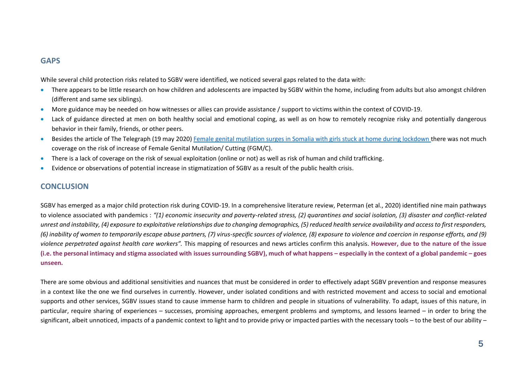### 'W^

While several child protection risks related to SGBV were identified, we noticed several gaps related to the data with:

- There appears to be little research on how children and adolescents are impacted by SGBV within the home, including from adults but also amongst children (different and same sex siblings).
- More guidance may be needed on how witnesses or allies can provide assistance / support to victims within the context of COVID-19.
- Lack of guidance directed at men on both healthy social and emotional coping, as well as on how to remotely recognize risky and potentially dangerous behavior in their family, friends, or other peers.
- Besides the article of The Telegraph (19 may 2020[\) Female genital mutilation surges in Somalia with girls stuck at home during lockdown](https://www.telegraph.co.uk/news/2020/05/19/female-genital-mutilation-surges-somalia-girls-stuck-home-lockdown/?) there was not much coverage on the risk of increase of Female Genital Mutilation/ Cutting (FGM/C).
- There is a lack of coverage on the risk of sexual exploitation (online or not) as well as risk of human and child trafficking.
- Evidence or observations of potential increase in stigmatization of SGBV as a result of the public health crisis.

### <span id="page-4-0"></span> $K$

SGBV has emerged as a major child protection risk during COVID-19. In a comprehensive literature review, Peterman (et al., 2020) identified nine main pathways to violence associated with pandemics : *"(1) economic insecurity and poverty-related stress, (2) quarantines and social isolation, (3) disaster and conflict-related unrest and instability, (4) exposure to exploitative relationships due to changing demographics, (5) reduced health service availability and access to first responders, (6) inability of women to temporarily escape abuse partners, (7) virus-specific sources of violence, (8) exposure to violence and coercion in response efforts, and (9) violence perpetrated against health care workers".* This mapping of resources and news articles confirm this analysis. **"EE** šµŒ}(šZ]•µ

| K Koyjog K | 亚 | UULO | t Moles (2008) |  |
|------------|---|------|----------------|--|
| <b>MAX</b> |   |      |                |  |

There are some obvious and additional sensitivities and nuances that must be considered in order to effectively adapt SGBV prevention and response measures in a context like the one we find ourselves in currently. However, under isolated conditions and with restricted movement and access to social and emotional supports and other services, SGBV issues stand to cause immense harm to children and people in situations of vulnerability. To adapt, issues of this nature, in particular, require sharing of experiences – successes, promising approaches, emergent problems and symptoms, and lessons learned – in order to bring the significant, albeit unnoticed, impacts of a pandemic context to light and to provide privy or impacted parties with the necessary tools – to the best of our ability –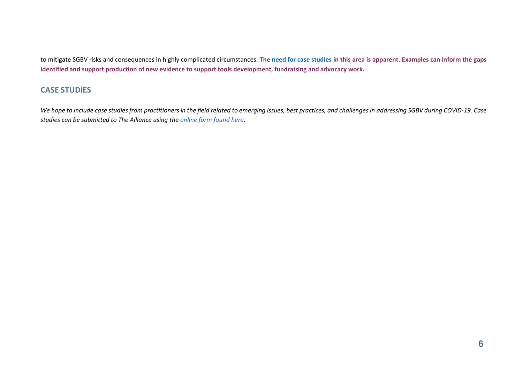

## dh/

We hope to include case studies from practitioners in the field related to emerging issues, best practices, and challenges in addressing SGBV during COVID-19. Case studies can be submitted to The Alliance using the online form found here.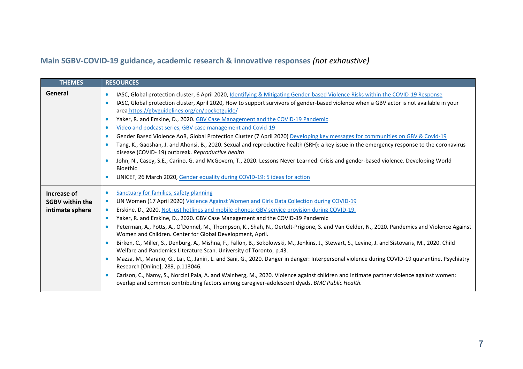## **DA** risk risuptions

## (not exhaustive)

| d, D                     | 胚                                                                                                                                                                                                                                                                                                                                                                                                                                                                                                                                                                                                                                                                                                                                                                                                                                                                                                                                                                                                                                                                                                                                                                                                                                                                                                          |
|--------------------------|------------------------------------------------------------------------------------------------------------------------------------------------------------------------------------------------------------------------------------------------------------------------------------------------------------------------------------------------------------------------------------------------------------------------------------------------------------------------------------------------------------------------------------------------------------------------------------------------------------------------------------------------------------------------------------------------------------------------------------------------------------------------------------------------------------------------------------------------------------------------------------------------------------------------------------------------------------------------------------------------------------------------------------------------------------------------------------------------------------------------------------------------------------------------------------------------------------------------------------------------------------------------------------------------------------|
| VŒ                       | IASC, Global protection cluster, 6 April 2020, Identifying & Mitigating Gender-based Violence Risks within the COVID-19 Response<br>$\bullet$<br>IASC, Global protection cluster, April 2020, How to support survivors of gender-based violence when a GBV actor is not available in your<br>$\bullet$<br>area https://gbvguidelines.org/en/pocketguide/<br>Yaker, R. and Erskine, D., 2020. GBV Case Management and the COVID-19 Pandemic<br>$\bullet$<br>Video and podcast series, GBV case management and Covid-19<br>$\bullet$                                                                                                                                                                                                                                                                                                                                                                                                                                                                                                                                                                                                                                                                                                                                                                         |
|                          | Gender Based Violence AoR, Global Protection Cluster (7 April 2020) Developing key messages for communities on GBV & Covid-19<br>$\bullet$<br>Tang, K., Gaoshan, J. and Ahonsi, B., 2020. Sexual and reproductive health (SRH): a key issue in the emergency response to the coronavirus<br>$\bullet$<br>disease (COVID-19) outbreak. Reproductive health<br>John, N., Casey, S.E., Carino, G. and McGovern, T., 2020. Lessons Never Learned: Crisis and gender-based violence. Developing World<br>Bioethic<br>UNICEF, 26 March 2020, Gender equality during COVID-19: 5 ideas for action<br>$\bullet$                                                                                                                                                                                                                                                                                                                                                                                                                                                                                                                                                                                                                                                                                                    |
| /vE<br>⅍攘/蚤<br>$v\omega$ | Sanctuary for families, safety planning<br>$\bullet$<br>UN Women (17 April 2020) Violence Against Women and Girls Data Collection during COVID-19<br>$\bullet$<br>Erskine, D., 2020. Not just hotlines and mobile phones: GBV service provision during COVID-19.<br>$\bullet$<br>Yaker, R. and Erskine, D., 2020. GBV Case Management and the COVID-19 Pandemic<br>$\bullet$<br>Peterman, A., Potts, A., O'Donnel, M., Thompson, K., Shah, N., Oertelt-Prigione, S. and Van Gelder, N., 2020. Pandemics and Violence Against<br>$\bullet$<br>Women and Children. Center for Global Development, April.<br>Birken, C., Miller, S., Denburg, A., Mishna, F., Fallon, B., Sokolowski, M., Jenkins, J., Stewart, S., Levine, J. and Sistovaris, M., 2020. Child<br>$\bullet$<br>Welfare and Pandemics Literature Scan. University of Toronto, p.43.<br>Mazza, M., Marano, G., Lai, C., Janiri, L. and Sani, G., 2020. Danger in danger: Interpersonal violence during COVID-19 quarantine. Psychiatry<br>$\bullet$<br>Research [Online], 289, p.113046.<br>Carlson, C., Namy, S., Norcini Pala, A. and Wainberg, M., 2020. Violence against children and intimate partner violence against women:<br>$\bullet$<br>overlap and common contributing factors among caregiver-adolescent dyads. BMC Public Health. |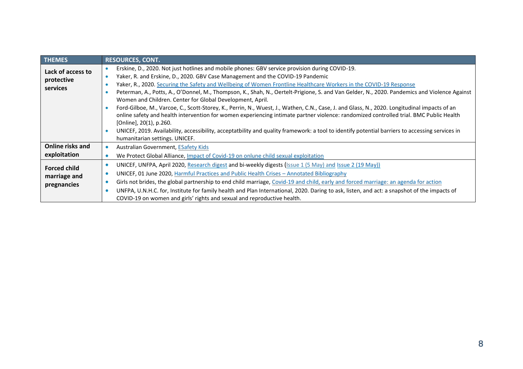<span id="page-7-0"></span>

| d, d       | KX<br><b>BOX</b>                                                                                                                                         |
|------------|----------------------------------------------------------------------------------------------------------------------------------------------------------|
| \$         | Erskine, D., 2020. Not just hotlines and mobile phones: GBV service provision during COVID-19.                                                           |
| 不可解        | Yaker, R. and Erskine, D., 2020. GBV Case Management and the COVID-19 Pandemic<br>٠                                                                      |
|            | Yaker, R., 2020. Securing the Safety and Wellbeing of Women Frontline Healthcare Workers in the COVID-19 Response<br>٠                                   |
|            | Peterman, A., Potts, A., O'Donnel, M., Thompson, K., Shah, N., Oertelt-Prigione, S. and Van Gelder, N., 2020. Pandemics and Violence Against             |
|            | Women and Children. Center for Global Development, April.                                                                                                |
|            | Ford-Gilboe, M., Varcoe, C., Scott-Storey, K., Perrin, N., Wuest, J., Wathen, C.N., Case, J. and Glass, N., 2020. Longitudinal impacts of an             |
|            | online safety and health intervention for women experiencing intimate partner violence: randomized controlled trial. BMC Public Health                   |
|            | [Online], 20(1), p.260.                                                                                                                                  |
|            | UNICEF, 2019. Availability, accessibility, acceptatbility and quality framework: a tool to identify potential barriers to accessing services in          |
|            | humanitarian settings. UNICEF.                                                                                                                           |
| Koyee<br>v | Australian Government, <b>ESafety Kids</b>                                                                                                               |
| 繩          | We Protect Global Alliance, Impact of Covid-19 on onlune child sexual exploitation                                                                       |
| βE<br>Ø    | UNICEF, UNFPA, April 2020, Research digest and bi-weekly digests (Issue 1 (5 May) and Issue 2 (19 May))<br>٠                                             |
| ufE        | UNICEF, 01 June 2020, Harmful Practices and Public Health Crises - Annotated Bibliography<br>٠                                                           |
| ₩          | Girls not brides, the global partnership to end child marriage, Covid-19 and child, early and forced marriage: an agenda for action<br>٠                 |
|            | UNFPA, U.N.H.C. for, Institute for family health and Plan International, 2020. Daring to ask, listen, and act: a snapshot of the impacts of<br>$\bullet$ |
|            | COVID-19 on women and girls' rights and sexual and reproductive health.                                                                                  |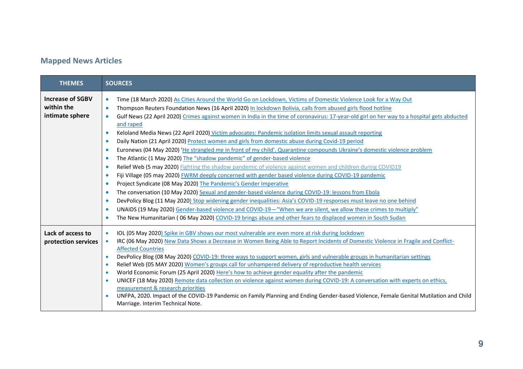#### D- $\overline{2}$ ∞ <del>É</del> pE

| d, D             | KZ                                                                                                                                                                                                                                                                                                                                                                                                                                                                                                                                                                                                                                                                                                                                                                                                                                                                                                                                                                                                                                                                                                                                                                                                                                                                                                                                                                                                                                                                                                                                                                                                                                                                                                                                                             |
|------------------|----------------------------------------------------------------------------------------------------------------------------------------------------------------------------------------------------------------------------------------------------------------------------------------------------------------------------------------------------------------------------------------------------------------------------------------------------------------------------------------------------------------------------------------------------------------------------------------------------------------------------------------------------------------------------------------------------------------------------------------------------------------------------------------------------------------------------------------------------------------------------------------------------------------------------------------------------------------------------------------------------------------------------------------------------------------------------------------------------------------------------------------------------------------------------------------------------------------------------------------------------------------------------------------------------------------------------------------------------------------------------------------------------------------------------------------------------------------------------------------------------------------------------------------------------------------------------------------------------------------------------------------------------------------------------------------------------------------------------------------------------------------|
| уØЕ<br>愈<br>yğus | Time (18 March 2020) As Cities Around the World Go on Lockdown, Victims of Domestic Violence Look for a Way Out<br>$\bullet$<br>Thompson Reuters Foundation News (16 April 2020) In lockdown Bolivia, calls from abused girls flood hotline<br>$\bullet$<br>Gulf News (22 April 2020) Crimes against women in India in the time of coronavirus: 17-year-old girl on her way to a hospital gets abducted<br>$\bullet$<br>and raped<br>Keloland Media News (22 April 2020) Victim advocates: Pandemic isolation limits sexual assault reporting<br>$\bullet$<br>Daily Nation (21 April 2020) Protect women and girls from domestic abuse during Covid-19 period<br>$\bullet$<br>Euronews (04 May 2020) 'He strangled me in front of my child'. Quarantine compounds Ukraine's domestic violence problem<br>$\bullet$<br>The Atlantic (1 May 2020) The "shadow pandemic" of gender-based violence<br>$\bullet$<br>Relief Web (5 may 2020) Fighting the shadow pandemic of violence against women and children during COVID19<br>$\bullet$<br>Fiji Village (05 may 2020) FWRM deeply concerned with gender based violence during COVID-19 pandemic<br>$\bullet$<br>Project Syndicate (08 May 2020) The Pandemic's Gender Imperative<br>$\bullet$<br>The conversation (10 May 2020) Sexual and gender-based violence during COVID-19: lessons from Ebola<br>$\bullet$<br>DevPolicy Blog (11 May 2020) Stop widening gender inequalities: Asia's COVID-19 responses must leave no one behind<br>$\bullet$<br>UNAIDS (19 May 2020) Gender-based violence and COVID-19-"When we are silent, we allow these crimes to multiply"<br>$\bullet$<br>The New Humanitarian (06 May 2020) COVID-19 brings abuse and other fears to displaced women in South Sudan<br>$\bullet$ |
| Цě<br>BODE       | IOL (05 May 2020) Spike in GBV shows our most vulnerable are even more at risk during lockdown<br>$\bullet$<br>IRC (06 May 2020) New Data Shows a Decrease in Women Being Able to Report Incidents of Domestic Violence in Fragile and Conflict-<br>$\bullet$<br><b>Affected Countries</b><br>DevPolicy Blog (08 May 2020) COVID-19: three ways to support women, girls and vulnerable groups in humanitarian settings<br>$\bullet$<br>Relief Web (05 MAY 2020) Women's groups call for unhampered delivery of reproductive health services<br>$\bullet$<br>World Economic Forum (25 April 2020) Here's how to achieve gender equality after the pandemic<br>$\bullet$<br>UNICEF (18 May 2020) Remote data collection on violence against women during COVID-19: A conversation with experts on ethics,<br>$\bullet$<br>measurement & research priorities<br>UNFPA, 2020. Impact of the COVID-19 Pandemic on Family Planning and Ending Gender-based Violence, Female Genital Mutilation and Child<br>$\bullet$<br>Marriage. Interim Technical Note.                                                                                                                                                                                                                                                                                                                                                                                                                                                                                                                                                                                                                                                                                                           |